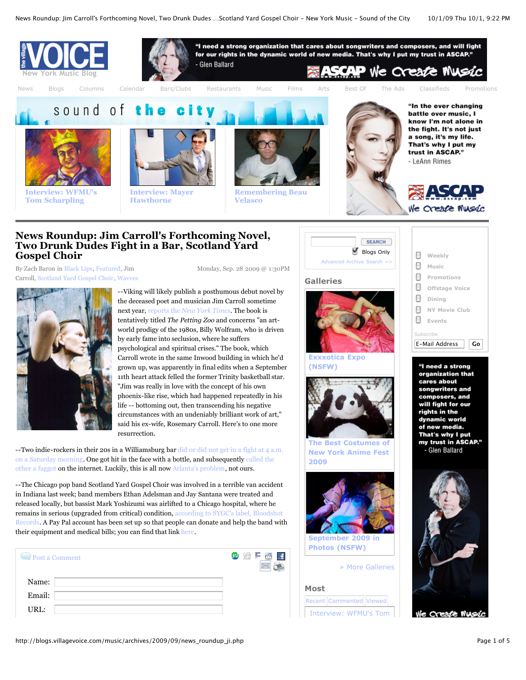

# **News Roundup: Jim Carroll's Forthcoming Novel, Two Drunk Dudes Fight in a Bar, Scotland Yard Gospel Choir**

[By Zach Baron in B](http://blogs.villagevoice.com/music/archives/new_yorkers/jim_carroll/)[lack Lips](http://blogs.villagevoice.com/music/archives/artists/black_lips/)[, F](http://blogs.villagevoice.com/music/archives/new_yorkers/jim_carroll/)[eature](http://blogs.villagevoice.com/music/archives/featured/)[d, Jim](http://blogs.villagevoice.com/music/archives/new_yorkers/jim_carroll/) Carroll, [Scotland Yard Gospel Choir,](http://blogs.villagevoice.com/music/archives/artists/scotland_yard_g/) [Wavves](http://blogs.villagevoice.com/music/archives/artists/wavves/) Monday, Sep. 28 2009 @ 1:30PM



--Viking will likely publish a posthumous debut novel by the deceased poet and musician Jim Carroll sometime next year, reports the *[New York Times](http://www.nytimes.com/2009/09/27/fashion/27Cover.html?partner=rss&emc=rss)*. The book is tentatively titled *The Petting Zoo* and concerns "an artworld prodigy of the 1980s, Billy Wolfram, who is driven by early fame into seclusion, where he suffers psychological and spiritual crises." The book, which Carroll wrote in the same Inwood building in which he'd grown up, was apparently in final edits when a September 11th heart attack felled the former Trinity basketball star. "Jim was really in love with the concept of his own phoenix-like rise, which had happened repeatedly in his life -- bottoming out, then transcending his negative circumstances with an undeniably brilliant work of art," said his ex-wife, Rosemary Carroll. Here's to one more resurrection.

[--Two indie-rockers in their 20s in a Williamsburg bar did or did not get in a fight at 4 a.m.](http://www.brooklynvegan.com/archives/2009/09/nathan_wavves_j.html) [on a Saturday morning. One got hit in the face with a bottle, and subsequently called the](http://www.brooklynvegan.com/archives/2009/09/jared_swilley_o.html) other a faggot on the internet. Luckily, this is all now [Atlanta's problem](http://www.brooklynvegan.com/archives/2009/09/jared_swilley_o.html), not ours.

--The Chicago pop band Scotland Yard Gospel Choir was involved in a terrible van accident in Indiana last week; band members Ethan Adelsman and Jay Santana were treated and released locally, but bassist Mark Yoshizumi was airlifted to a Chicago hospital, where he [remains in serious \(upgraded from critical\) condition, according to SYGC's label, Bloodshot](http://www.bloodshotrecords.com/news/sygc-van-accident) Records. A Pay Pal account has been set up so that people can donate and help the band with their equipment and medical bills; you can find that link [here](https://www.paypal.com/us/cgi-bin/webscr?cmd=_flow&SESSION=fHT1vzONbp-qdmy_Ozhp_wZ8m66EuZojQ1VOC_tNSp251k2LKxN5ilOFLBa&dispatch=5885d80a13c0db1fca8cb0621aa94a5fc157eca86dc6e6adbec4b69650d8a3ec).

| $\rightarrow$ Post a Comment | 50 SH | Ć |
|------------------------------|-------|---|
| Name:                        |       |   |
| Email:                       |       |   |
| URL:                         |       |   |
|                              |       |   |





**[Exxxotica Expo](http://www.villagevoice.com/slideshow/view/28496885) (NSFW)**



**[The Best Costumes of](http://www.villagevoice.com/slideshow/view/28496896) New York Anime Fest 2009**



**Photos (NSFW)**

[» More Galleries](http://www.villagevoice.com/slideshow/index)

# **Most**

 $\mathbf{H}$ 

> Recent Commented Viewed [Interview: WFMU's Tom](http://blogs.villagevoice.com/music/archives/2009/10/interview_wfmus.php)

| н  | Events<br>Subscribe                  |
|----|--------------------------------------|
| н  | $\mathbb{H}$ Dining<br>NY Movie Club |
| m. | Offstage Voice                       |
| ш  | Promotions                           |
| н  | Music                                |
|    | <b>Neekly</b>                        |





e Create Mussic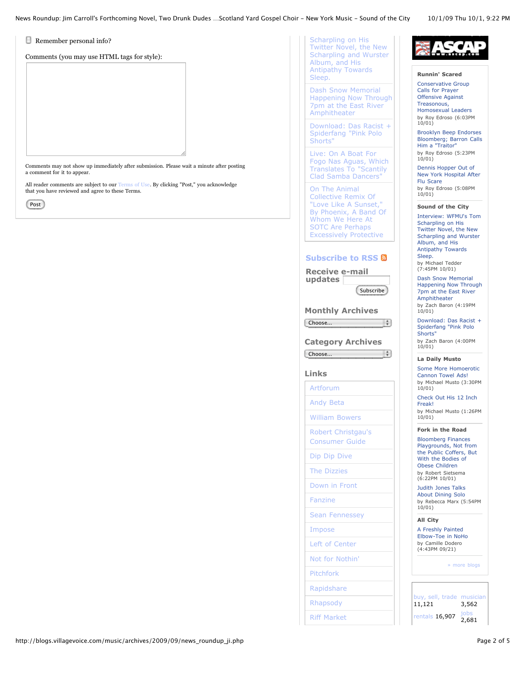News Roundup: Jim Carroll's Forthcoming Novel, Two Drunk Dudes …Scotland Yard Gospel Choir - New York Music - Sound of the City 10/1/09 Thu 10/1, 9:22 PM

 $\Box$  Remember personal info?

a comment for it to appear.

Post

that you have reviewed and agree to these Terms.

Comments (you may use HTML tags for style):

Comments may not show up immediately after submission. Please wait a minute after posting

All reader comments are subject to our [Terms of Use.](http://www.villagevoice.com/about/terms) By clicking "Post," you acknowledge

#### **[Runnin' Scared](http://blogs.villagevoice.com/runninscared/)**

Conservative Group Calls for Prayer Offensive Against Treasonous, [Homosexual Leaders](http://blogs.villagevoice.com/runninscared/archives/2009/10/conservative_gr.php) by Roy Edroso (6:03PM 10/01)

Brooklyn Beep Endorses [Bloomberg; Barron Calls](http://blogs.villagevoice.com/runninscared/archives/2009/10/brooklyn_beep_e.php) Him a "Traitor" by Roy Edroso (5:23PM  $10/01)$ 

Dennis Hopper Out of [New York Hospital After](http://blogs.villagevoice.com/runninscared/archives/2009/10/dennis_hopper_o.php) Flu Scare by Roy Edroso (5:08PM 10/01)

**[Sound of the City](http://blogs.villagevoice.com/music/)**

[Interview: WFMU's Tom](http://blogs.villagevoice.com/music/archives/2009/10/interview_wfmus.php) Scharpling on His Twitter Novel, the New Scharpling and Wurster Album, and His Antipathy Towards Sleep.

by Michael Tedder (7:45PM 10/01)

Subscribe<sup>1</sup>

- 19

÷

Scharpling on His Twitter Novel, the New [Scharpling and Wurster](http://blogs.villagevoice.com/music/archives/2009/10/interview_wfmus.php) Album, and His Antipathy Towards

Dash Snow Memorial [Happening Now Through](http://blogs.villagevoice.com/music/archives/2009/10/dash_snow_memor.php) 7pm at the East River Amphitheater

[Download: Das Racist +](http://blogs.villagevoice.com/music/archives/2009/10/download_das_ra.php) Spiderfang "Pink Polo

Live: On A Boat For [Fogo Nas Aguas, Which](http://blogs.villagevoice.com/music/archives/2009/10/live_on_a_boat.php) Translates To "Scantily Clad Samba Dancers" On The Animal Collective Remix Of "Love Like A Sunset," [By Phoenix, A Band Of](http://blogs.villagevoice.com/music/archives/2009/10/on_the_animal_c.php) Whom We Here At SOTC Are Perhaps Excessively Protective

**[Subscribe to RSS](http://blogs.villagevoice.com/music/rss.xml)  Receive e-mail updates** 

**Monthly Archives**

**Category Archives**

Choose...

Choose...

**Links** [Artforum](http://www.artforum.com/) [Andy Beta](http://andybetablog.blogspot.com/) [William Bowers](http://puritanb.blogspot.com/) [Robert Christgau's](http://music.msn.com/music/consumerguide/) Consumer Guide [Dip Dip Dive](http://dipdipdive.blogspot.com/) [The Dizzies](http://thedizzies.blogspot.com/) [Down in Front](http://www.villagevoice.com/columns/view/389014,22.html)

[Fanzine](http://www.thefanzine.com/)

[Impose](http://www.imposemagazine.com/)

[Pitchfork](http://www.pitchforkmedia.com/) [Rapidshare](http://blogs.vibe.com/rapidshare/) [Rhapsody](http://blog.rhapsody.com/) [Riff Market](http://www.riffmarket.com/)

[Sean Fennessey](http://blogs.vibe.com/rapidshare/)

[Left of Center](http://www.djalirancher.com/blog) [Not for Nothin'](http://amylinden.wordpress.com/)

Sleep.

Shorts"

Dash Snow Memorial [Happening Now Through](http://blogs.villagevoice.com/music/archives/2009/10/dash_snow_memor.php) 7pm at the East River Amphitheater

by Zach Baron (4:19PM 10/01)

[Download: Das Racist +](http://blogs.villagevoice.com/music/archives/2009/10/download_das_ra.php) Spiderfang "Pink Polo Shorts" by Zach Baron (4:00PM 10/01)

### **[La Daily Musto](http://blogs.villagevoice.com/dailymusto/)**

[Some More Homoerotic](http://blogs.villagevoice.com/dailymusto/archives/2009/10/some_more_homoe.php) Cannon Towel Ads! by Michael Musto (3:30PM 10/01)

[Check Out His 12 Inch](http://blogs.villagevoice.com/dailymusto/archives/2009/10/check_out_his_1.php) Freak! by Michael Musto (1:26PM

10/01)

## **[Fork in the Road](http://blogs.villagevoice.com/forkintheroad/)**

Bloomberg Finances [Playgrounds, Not from](http://blogs.villagevoice.com/forkintheroad/archives/2009/10/bloomberg_finan.php) the Public Coffers, But With the Bodies of Obese Children by Robert Sietsema (6:22PM 10/01)

[Judith Jones Talks](http://blogs.villagevoice.com/forkintheroad/archives/2009/10/judith_jones_ta.php) About Dining Solo by Rebecca Marx (5:54PM 10/01)

### **[All City](http://blogs.villagevoice.com/streetculture/)**

A Freshly Painted [Elbow-Toe in NoHo](http://blogs.villagevoice.com/streetculture/archives/2009/09/a_freshly_paint.php) by Camille Dodero (4:43PM 09/21)

[» more blogs](http://blogs.villagevoice.com/)

sell, trade 11,121 musicial 3,562 [rentals](http://villagevoice.backpage.com/rentals/classifieds/Results?adLanguage=All§ion=4376)  $16,907$ 2,681

http://blogs.villagevoice.com/music/archives/2009/09/news\_roundup\_ji.php Page 2 of 5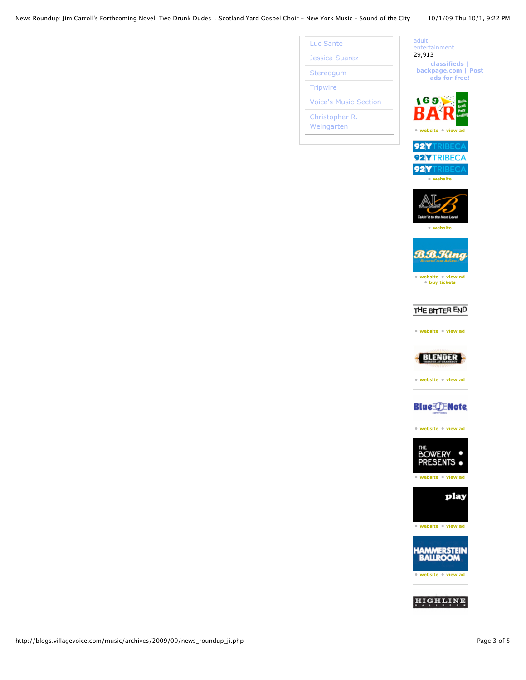News Roundup: Jim Carroll's Forthcoming Novel, Two Drunk Dudes …Scotland Yard Gospel Choir - New York Music - Sound of the City 10/1/09 Thu 10/1, 9:22 PM

[Luc Sante](http://ekotodi.blogspot.com/) [Jessica Suarez](http://www.jessicasuarez.com/) [Stereogum](http://www.stereogum.com/) **[Tripwire](http://www.thetripwire.com/)** 

[Voice's Music Section](http://www.villagevoice.com/music/)

[Christopher R.](http://twitter.com/1000TimesYes/) Weingarten

| adult<br>entertainment<br>29,913<br>classifieds  <br>backpage.com   Post<br>ads for free!                      |
|----------------------------------------------------------------------------------------------------------------|
| 169<br>Music<br><b>Fany</b><br>Event<br><b>Lookin</b><br>• website • view ad                                   |
| 92<br>22<br>92<br>· website                                                                                    |
| 1 L O<br>• website                                                                                             |
| <b>B.B.Kin</b><br>$\boldsymbol{a}$<br>BLUES CLUB & GRILL<br>· website · view ad<br><b><i>•</i></b> buy tickets |
| THE BITTER END<br>· website · view ad                                                                          |
| • website • view ad                                                                                            |
| <b>Blue JENote</b><br>• website • view ad                                                                      |
| HE<br>• website • view ad                                                                                      |
| рJ<br>æ<br>• website • view ad                                                                                 |
| • website • view ad                                                                                            |
|                                                                                                                |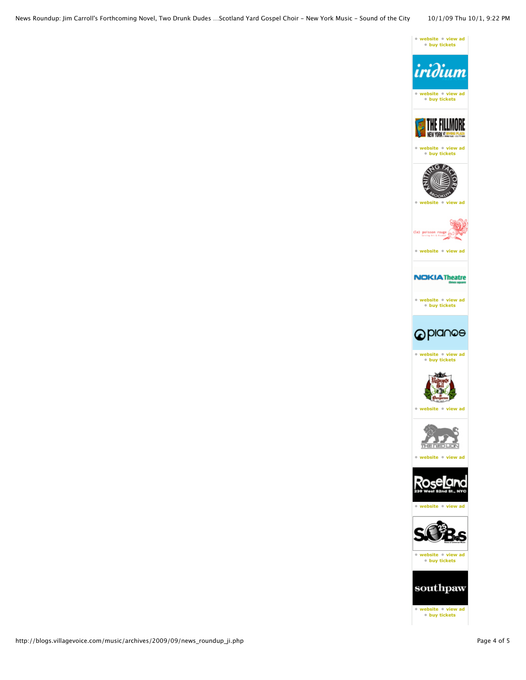



**• [website](http://www.sobs.com/) • [view ad](http://www.villagevoice.com/adIndex/sobs-15338/726551) • [buy tickets](http://www.ticketmaster.com/)**



http://blogs.villagevoice.com/music/archives/2009/09/news\_roundup\_ji.php Page 4 of 5